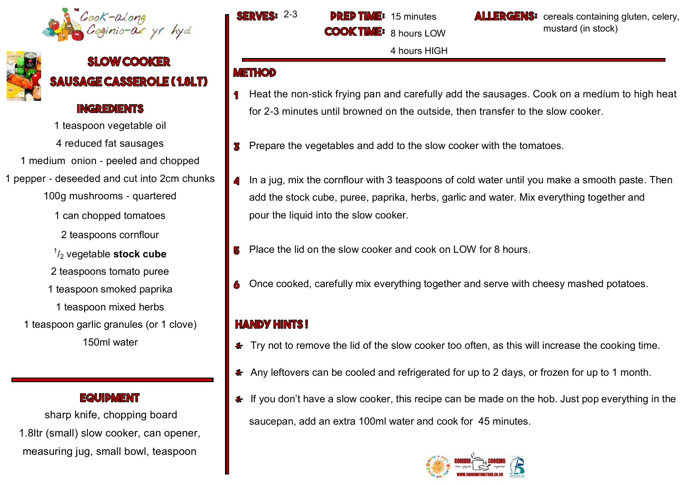



# **SLOW COOKER SAUSAGE CASSEROLE (1.8LT)**

#### **INGREDIENTS**

1 teaspoon vegetable oil

4 reduced fat sausages

1 medium onion - peeled and chopped

1 pepper - deseeded and cut into 2cm chunks

100g mushrooms - quartered

1 can chopped tomatoes

2 teaspoons cornflour

1 /<sup>2</sup> vegetable **stock cube** 

- 2 teaspoons tomato puree
- 1 teaspoon smoked paprika

1 teaspoon mixed herbs

1 teaspoon garlic granules (or 1 clove) 150ml water

**EQUIDMENT** 

sharp knife, chopping board 1.8ltr (small) slow cooker, can opener, measuring jug, small bowl, teaspoon

SERVES:  $2-3$  DRED TIME: 15 minutes **COOK TH** 8 hours LOW

4 hours HIGH

**ALLERGENS:** cereals containing gluten, celery, mustard (in stock)

#### **METHOD**

- Heat the non-stick frying pan and carefully add the sausages. Cook on a medium to high heat for 2-3 minutes until browned on the outside, then transfer to the slow cooker.
- Prepare the vegetables and add to the slow cooker with the tomatoes. 3
- In a jug, mix the cornflour with 3 teaspoons of cold water until you make a smooth paste. Then add the stock cube, puree, paprika, herbs, garlic and water. Mix everything together and pour the liquid into the slow cooker.
- Place the lid on the slow cooker and cook on LOW for 8 hours.
- Once cooked, carefully mix everything together and serve with cheesy mashed potatoes.

# **HANDY HINTS!**

- Fry not to remove the lid of the slow cooker too often, as this will increase the cooking time.
- \* Any leftovers can be cooled and refrigerated for up to 2 days, or frozen for up to 1 month.
- $\bullet$  If you don't have a slow cooker, this recipe can be made on the hob. Just pop everything in the saucepan, add an extra 100ml water and cook for 45 minutes.